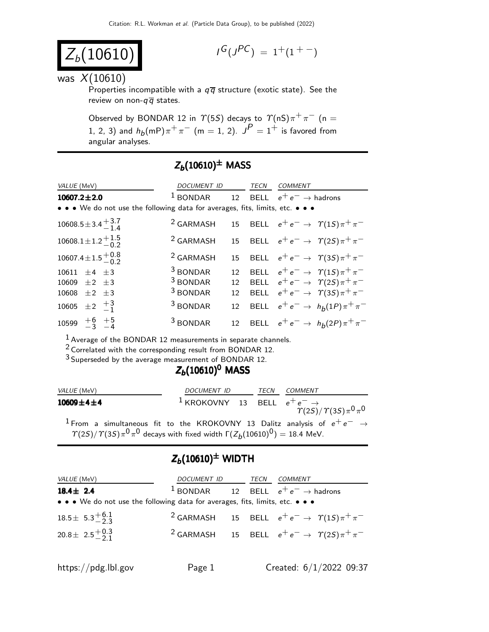$$
Z_b(10610)
$$

$$
I^G(J^{PC}) = 1^+(1^{+ -})
$$

#### was  $X(10610)$

Properties incompatible with a  $q\bar{q}$  structure (exotic state). See the review on non- $q\overline{q}$  states.

Observed by BONDAR 12 in  $\Upsilon(5S)$  decays to  $\Upsilon(nS)\pi^{+}\pi^{-}$  (n = 1, 2, 3) and  $h_b(mP)\pi^+\pi^ (m=1,\,2)$ .  $J^P=1^+$  is favored from angular analyses.

### $Z_b(10610)^{\pm}$  MASS

| VALUE (MeV)                                                                   | DOCUMENT ID          |                  | TECN | <b>COMMENT</b>                                    |
|-------------------------------------------------------------------------------|----------------------|------------------|------|---------------------------------------------------|
| $10607.2 \pm 2.0$                                                             | $1$ BONDAR           |                  |      | 12 BELL $e^+e^- \rightarrow$ hadrons              |
| • • • We do not use the following data for averages, fits, limits, etc. • • • |                      |                  |      |                                                   |
| $10608.5 \pm 3.4 \begin{array}{c} +3.7 \\ -1.4 \end{array}$                   | <sup>2</sup> GARMASH |                  |      | 15 BELL $e^+e^- \rightarrow \gamma(1S)\pi^+\pi^-$ |
| $10608.1 \pm 1.2 \begin{array}{c} +1.5 \\ -0.2 \end{array}$                   | <sup>2</sup> GARMASH |                  |      | 15 BELL $e^+e^- \rightarrow \gamma(2S)\pi^+\pi^-$ |
| $10607.4 \pm 1.5 \begin{array}{c} +0.8 \\ -0.2 \end{array}$                   | <sup>2</sup> GARMASH |                  |      | 15 BELL $e^+e^- \rightarrow \gamma(3S)\pi^+\pi^-$ |
| 10611 $\pm 4$ $\pm 3$                                                         | <sup>3</sup> BONDAR  | 12               |      | BELL $e^+e^- \rightarrow \gamma(1S)\pi^+\pi^-$    |
| 10609 $\pm 2$ $\pm 3$                                                         | <sup>3</sup> BONDAR  | 12               |      | BELL $e^+e^- \rightarrow \gamma(2S)\pi^+\pi^-$    |
| 10608 $\pm 2$ $\pm 3$                                                         | <sup>3</sup> BONDAR  | 12 <sup>12</sup> |      | BELL $e^+e^- \rightarrow \gamma(3S)\pi^+\pi^-$    |
| 10605 $\pm 2$ $\frac{+3}{-1}$                                                 | <sup>3</sup> BONDAR  | 12               |      | BELL $e^+e^- \rightarrow h_b(1P)\pi^+\pi^-$       |
| 10599 $\frac{+6}{-3}$ $\frac{+5}{-4}$                                         | <sup>3</sup> BONDAR  | 12 <sup>12</sup> |      | BELL $e^+e^- \rightarrow h_b(2P)\pi^+\pi^-$       |

1 Average of the BONDAR 12 measurements in separate channels.

2 Correlated with the corresponding result from BONDAR 12.

3 Superseded by the average measurement of BONDAR 12.

## $Z_b(10610)^0$  MASS

| <i>VALUE</i> (MeV)  | DOCUMENT ID                                        | <b>TFCN</b> | COMMENT                           |
|---------------------|----------------------------------------------------|-------------|-----------------------------------|
| $10609 \pm 4 \pm 4$ | <sup>1</sup> KROKOVNY 13 BELL $e^+e^- \rightarrow$ |             | $\tau(25)/\tau(35)\pi^{0}\pi^{0}$ |

 $^1$  From a simultaneous fit to the KROKOVNY 13 Dalitz analysis of  $e^+ \, e^ \rightarrow$  $T(2S)/T(3S)\pi^{0} \pi^{0}$  decays with fixed width  $\Gamma(Z_{b}(10610)^{0}) = 18.4$  MeV.

## $Z_b(10610)^{\pm}$  WIDTH

| <i>VALUE</i> (MeV)                                                            | DOCUMENT ID TECN |  | <i>COMMENT</i>                                                         |
|-------------------------------------------------------------------------------|------------------|--|------------------------------------------------------------------------|
| $18.4 \pm 2.4$                                                                |                  |  | <sup>1</sup> BONDAR 12 BELL $e^+e^- \rightarrow$ hadrons               |
| • • • We do not use the following data for averages, fits, limits, etc. • • • |                  |  |                                                                        |
| $18.5 \pm 5.3_{-2.3}^{+6.1}$                                                  |                  |  | <sup>2</sup> GARMASH 15 BELL $e^+e^- \rightarrow \gamma(1S)\pi^+\pi^-$ |
| 20.8 ± 2.5 $^{+0.3}_{-2.1}$                                                   |                  |  | <sup>2</sup> GARMASH 15 BELL $e^+e^- \rightarrow \gamma(2S)\pi^+\pi^-$ |
|                                                                               |                  |  |                                                                        |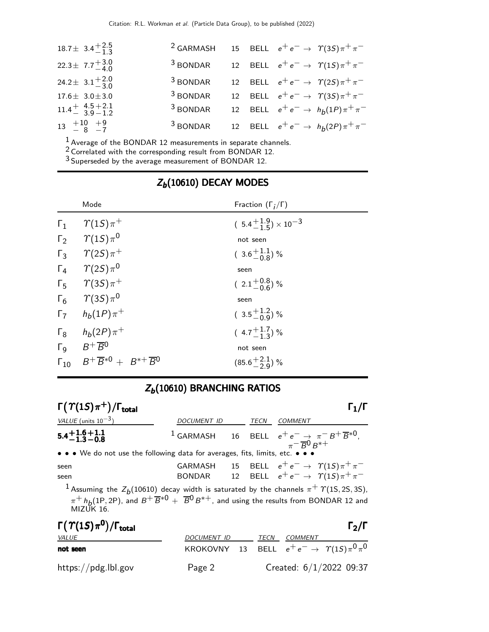| $18.7\pm 3.4^{+2.5}_{-1.3}$       | <sup>2</sup> GARMASH 15 BELL $e^+e^- \rightarrow \gamma(35)\pi^+\pi^-$ |  |                                                   |
|-----------------------------------|------------------------------------------------------------------------|--|---------------------------------------------------|
| 22.3 ± $7.7^{+3.0}_{-4.0}$        | <sup>3</sup> BONDAR 12 BELL $e^+e^- \rightarrow \gamma(1S)\pi^+\pi^-$  |  |                                                   |
| 24.2 ± $3.1^{+2.0}_{-3.0}$        | $3$ BONDAR                                                             |  | 12 BELL $e^+e^- \rightarrow \gamma(2S)\pi^+\pi^-$ |
| $17.6 \pm 3.0 \pm 3.0$            | $3$ BONDAR                                                             |  | 12 BELL $e^+e^- \rightarrow \gamma(35)\pi^+\pi^-$ |
| $11.4 + 4.5 + 2.1$<br>$3.9 - 1.2$ | $3$ BONDAR                                                             |  | 12 BELL $e^+e^- \to h_b(1P)\pi^+\pi^-$            |
| $13 + 10 + 9$<br>$-8 - 7$         | <sup>3</sup> BONDAR 12 BELL $e^+e^- \rightarrow h_b(2P)\pi^+\pi^-$     |  |                                                   |

 $\frac{1}{2}$  Average of the BONDAR 12 measurements in separate channels.

 $2$  Correlated with the corresponding result from BONDAR 12.

3 Superseded by the average measurement of BONDAR 12.

|            | Mode                                                                | Fraction $(\Gamma_i/\Gamma)$         |
|------------|---------------------------------------------------------------------|--------------------------------------|
| $\Gamma_1$ | $\gamma(15)\pi^+$                                                   | $(5.4^{+1.9}_{-1.5}) \times 10^{-3}$ |
|            | $\Gamma_2$ $\Upsilon(15)\pi^0$                                      | not seen                             |
|            | $\Gamma_3$ $\gamma(2S)\pi^+$                                        | $(3.6\frac{+1.1}{0.8})\%$            |
|            | $\Gamma_4$ $\gamma(2S)\pi^0$                                        | seen                                 |
|            | $\Gamma_5$ $\gamma$ (3S) $\pi$ <sup>+</sup>                         | $(2.1\frac{+0.8}{0.6})$ %            |
|            | $\Gamma_6$ $\gamma$ (3S) $\pi$ <sup>0</sup>                         | seen                                 |
|            | $\Gamma_7$ $h_b(1P)\pi^+$                                           | $(3.5\frac{+1.2}{0.9})\%$            |
|            | $\Gamma_8$ $h_b(2P)\pi^+$                                           | $(4.7+1.7-1.3)$ %                    |
|            | $\Gamma_9$ $B^+\overline{B}^0$                                      | not seen                             |
|            | $\Gamma_{10}$ $B^+ \overline{B}{}^{*0} + B^{*+} \overline{B}{}^{0}$ | $(85.6 \frac{+2.1}{2.9})$ %          |

## $Z_b(10610)$  DECAY MODES

# $Z_b(10610)$  BRANCHING RATIOS

| $\Gamma(\Upsilon(1S)\pi^+) / \Gamma_{\text{total}}$                                                                                                                                                                                                      |                                                                                             |             |                                                   |                                                            |
|----------------------------------------------------------------------------------------------------------------------------------------------------------------------------------------------------------------------------------------------------------|---------------------------------------------------------------------------------------------|-------------|---------------------------------------------------|------------------------------------------------------------|
| VALUE (units $10^{-3}$ )                                                                                                                                                                                                                                 | DOCUMENT ID                                                                                 | <b>TECN</b> | <i>COMMENT</i>                                    |                                                            |
| $5.4 + 1.6 + 1.1$<br>$-1.3 - 0.8$                                                                                                                                                                                                                        | $^1$ GARMASH $\qquad$ 16 $\qquad$ BELL $e^+e^- \rightarrow \pi^- B^+ \overline{B}{}^{*0}$ , |             | $\pi$ <sup>-</sup> R <sup>0</sup> R <sup>*+</sup> |                                                            |
| • • • We do not use the following data for averages, fits, limits, etc. • • •                                                                                                                                                                            |                                                                                             |             |                                                   |                                                            |
| seen                                                                                                                                                                                                                                                     | GARMASH 15 BELL $e^+e^- \rightarrow \gamma(1S)\pi^+\pi^-$                                   |             |                                                   |                                                            |
| seen                                                                                                                                                                                                                                                     | BONDAR                                                                                      |             |                                                   | 12 BELL $e^+e^- \rightarrow \gamma(1S)\pi^+\pi^-$          |
| <sup>1</sup> Assuming the $Z_b(10610)$ decay width is saturated by the channels $\pi^+$ $\Upsilon$ (1S, 2S, 3S),<br>$\pi^+ h_b(1P, 2P)$ , and $B^+ \overline{B}^{*0} + \overline{B}^0 B^{*+}$ , and using the results from BONDAR 12 and<br>MIZUK $16$ . |                                                                                             |             |                                                   |                                                            |
| $\Gamma(\Upsilon(1S)\pi^0)/\Gamma_{\rm total}$                                                                                                                                                                                                           |                                                                                             |             |                                                   | $\Gamma_2/\Gamma$                                          |
| VALUE                                                                                                                                                                                                                                                    | DOCUMENT ID                                                                                 | TECN        | <b>COMMENT</b>                                    |                                                            |
| not seen                                                                                                                                                                                                                                                 |                                                                                             |             |                                                   | KROKOVNY 13 BELL $e^+e^- \rightarrow \gamma(1S)\pi^0\pi^0$ |

https://pdg.lbl.gov Page 2 Created: 6/1/2022 09:37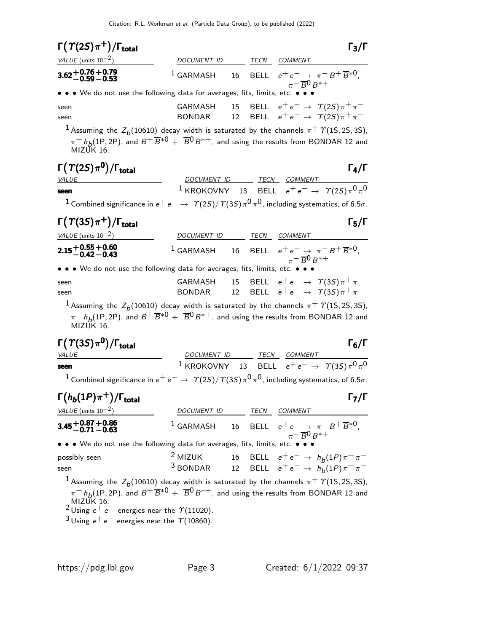| $\Gamma(\Upsilon(2S)\pi^+)/\Gamma_{\text{total}}$                             |             |      | $\Gamma_3/\Gamma$                                                                                                |
|-------------------------------------------------------------------------------|-------------|------|------------------------------------------------------------------------------------------------------------------|
| VALUE (units $10^{-2}$ )                                                      | DOCUMENT ID | TECN | <b>COMMENT</b>                                                                                                   |
| $3.62 + 0.76 + 0.79$<br>-0.59 -0.53                                           |             |      | <sup>1</sup> GARMASH 16 BELL $e^+e^- \rightarrow \pi^- B^+ \overline{B}^{*0}$ ,<br>$\pi^- \overline{B}^0 B^{*+}$ |
| • • • We do not use the following data for averages, fits, limits, etc. • • • |             |      |                                                                                                                  |
| seen                                                                          |             |      | GARMASH 15 BELL $e^+e^- \rightarrow \gamma(2S)\pi^+\pi^-$                                                        |
| seen                                                                          | BONDAR      |      | 12 BELL $e^+e^- \rightarrow \gamma (25) \pi^+ \pi^-$                                                             |
|                                                                               |             |      | <sup>1</sup> Assuming the $Z_b(10610)$ decay width is saturated by the channels $\pi^+$ $\Upsilon(15, 25, 35)$ , |

 $\pi^{+}$  h<sub>b</sub>(1P, 2P), and  $B^{+}\overline{B}^{*0}$  +  $\overline{B}^{0}B^{*+}$ , and using the results from BONDAR 12 and MIZUK 16.

|--|--|--|--|--|

| $\Gamma(\Upsilon(2S)\pi^0)/\Gamma_{\rm total}$                                                                                |                                                                         |  | $\Gamma_{4}/\Gamma$ |
|-------------------------------------------------------------------------------------------------------------------------------|-------------------------------------------------------------------------|--|---------------------|
| <i>VALUE</i>                                                                                                                  | DOCUMENT ID TECN COMMENT                                                |  |                     |
| seen                                                                                                                          | <sup>1</sup> KROKOVNY 13 BELL $e^+e^- \rightarrow \gamma(25)\pi^0\pi^0$ |  |                     |
| <sup>1</sup> Combined significance in $e^+e^- \to \gamma(2S)/\gamma(3S)\pi^0\pi^0$ , including systematics, of 6.5 $\sigma$ . |                                                                         |  |                     |

| $\Gamma(\Upsilon(3S)\pi^+)$ / $\Gamma_{\rm total}$                                                                |                    |      | $\Gamma_5/\Gamma$                                                                                                          |
|-------------------------------------------------------------------------------------------------------------------|--------------------|------|----------------------------------------------------------------------------------------------------------------------------|
| VALUE (units $10^{-2}$ )                                                                                          | <b>DOCUMENT ID</b> | TECN | <i>COMMENT</i>                                                                                                             |
| $2.15 + 0.55 + 0.60$<br>-0.42 -0.43                                                                               |                    |      | <sup>1</sup> GARMASH 16 BELL $e^+e^- \rightarrow \pi^-B^+\overline{B}^{*0}$<br>$_{\pi}$ – $_{\text{B}}$ 0 $_{\text{B}}$ *+ |
| $\bullet \bullet \bullet$ We do not use the following data for averages fits limits etc $\bullet \bullet \bullet$ |                    |      |                                                                                                                            |

• We do not use the following data for averages, fits, limits, etc. • • •

| seen | GARMASH 15 BELL $e^+e^- \rightarrow \gamma(3S)\pi^+\pi^-$ |  |  |
|------|-----------------------------------------------------------|--|--|
| seen | BONDAR 12 BELL $e^+e^- \rightarrow \gamma(35)\pi^+\pi^-$  |  |  |

 $^1$  Assuming the  $Z_b(10610)$  decay width is saturated by the channels  $\pi^+$   $\varUpsilon(1\text{S}, 2\text{S}, 3\text{S})$ ,  $\pi^+ h_b(1P, 2P)$ , and  $B^+ \overline{B}{}^* 0 + \overline{B}{}^0 B^{*+}$ , and using the results from BONDAR 12 and MIZUK 16.

| $\Gamma(\varUpsilon(3S)\pi^{\mathbf{0}})/\Gamma_{\text{total}}$                                                               |                                                                         |  | $\Gamma_6/\Gamma$ |
|-------------------------------------------------------------------------------------------------------------------------------|-------------------------------------------------------------------------|--|-------------------|
| <i>VALUE</i>                                                                                                                  | DOCUMENT ID TECN COMMENT                                                |  |                   |
| seen                                                                                                                          | <sup>1</sup> KROKOVNY 13 BELL $e^+e^- \rightarrow \gamma(35)\pi^0\pi^0$ |  |                   |
| <sup>1</sup> Combined significance in $e^+e^- \to \gamma(2S)/\gamma(3S)\pi^0\pi^0$ , including systematics, of 6.5 $\sigma$ . |                                                                         |  |                   |

| $\Gamma(h_b(1P)\pi^+)$ / $\Gamma_{\text{total}}$                              |             |      | $\Gamma_7/\Gamma$                                                                                                |
|-------------------------------------------------------------------------------|-------------|------|------------------------------------------------------------------------------------------------------------------|
| VALUE (units $10^{-2}$ )                                                      | DOCUMENT ID | TECN | COMMENT                                                                                                          |
| $3.45 + 0.87 + 0.86$<br>-0.71 - 0.63                                          |             |      | <sup>1</sup> GARMASH 16 BELL $e^+e^- \rightarrow \pi^- B^+ \overline{B}^{*0}$ ,<br>$\pi^- \overline{B}^0 B^{*+}$ |
| • • • We do not use the following data for averages, fits, limits, etc. • • • |             |      |                                                                                                                  |
|                                                                               |             |      |                                                                                                                  |

| possibly seen | $2$ MIZUK  |  | 16 BELL $e^+e^- \to h_b(1P)\pi^+\pi^-$ |
|---------------|------------|--|----------------------------------------|
| seen          | $3$ BONDAR |  | 12 BELL $e^+e^- \to h_b(1P)\pi^+\pi^-$ |

 $^1$  Assuming the  $Z_b(10610)$  decay width is saturated by the channels  $\pi^+$   $\varUpsilon(1\text{S},2\text{S},3\text{S})$ ,  $\pi^{+}$   $h_b$ (1P, 2P), and  $B^{+}\overline{B}^{*0}$  +  $\overline{B}^{0}$   $B^{*+}$ , and using the results from BONDAR 12 and MIZUK 16.<br><sup>2</sup> Using e<sup>+</sup> e<sup>-</sup> energies near the 7(11020).

 $3$  Using  $e^+e^-$  energies near the  $\gamma$ (10860).